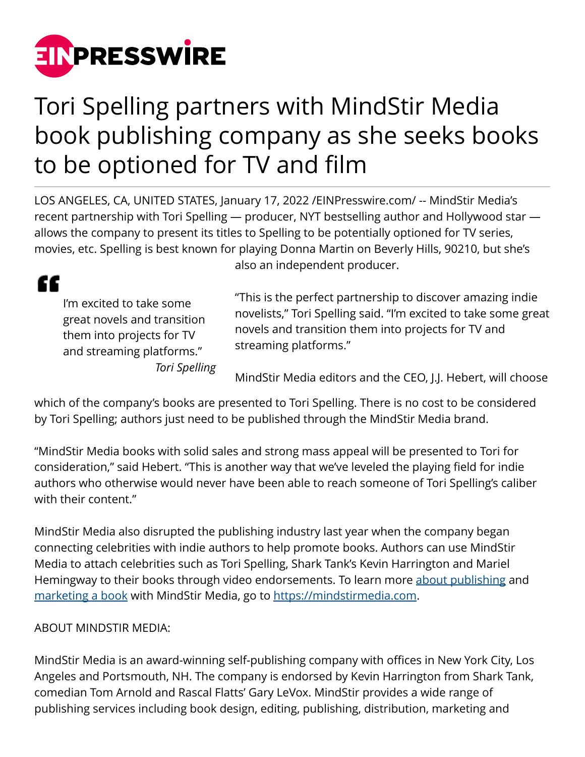

## Tori Spelling partners with MindStir Media book publishing company as she seeks books to be optioned for TV and film

LOS ANGELES, CA, UNITED STATES, January 17, 2022 [/EINPresswire.com](http://www.einpresswire.com)/ -- MindStir Media's recent partnership with Tori Spelling — producer, NYT bestselling author and Hollywood star allows the company to present its titles to Spelling to be potentially optioned for TV series, movies, etc. Spelling is best known for playing Donna Martin on Beverly Hills, 90210, but she's also an independent producer.

I'm excited to take some great novels and transition them into projects for TV and streaming platforms." *Tori Spelling*

"

"This is the perfect partnership to discover amazing indie novelists," Tori Spelling said. "I'm excited to take some great novels and transition them into projects for TV and streaming platforms."

MindStir Media editors and the CEO, J.J. Hebert, will choose

which of the company's books are presented to Tori Spelling. There is no cost to be considered by Tori Spelling; authors just need to be published through the MindStir Media brand.

"MindStir Media books with solid sales and strong mass appeal will be presented to Tori for consideration," said Hebert. "This is another way that we've leveled the playing field for indie authors who otherwise would never have been able to reach someone of Tori Spelling's caliber with their content."

MindStir Media also disrupted the publishing industry last year when the company began connecting celebrities with indie authors to help promote books. Authors can use MindStir Media to attach celebrities such as Tori Spelling, Shark Tank's Kevin Harrington and Mariel Hemingway to their books through video endorsements. To learn more [about publishing](https://mindstirmedia.com/selfpublishingpackages/) and [marketing a book](https://mindstirmedia.com/bookmarketingservices/) with MindStir Media, go to<https://mindstirmedia.com>.

ABOUT MINDSTIR MEDIA:

MindStir Media is an award-winning self-publishing company with offices in New York City, Los Angeles and Portsmouth, NH. The company is endorsed by Kevin Harrington from Shark Tank, comedian Tom Arnold and Rascal Flatts' Gary LeVox. MindStir provides a wide range of publishing services including book design, editing, publishing, distribution, marketing and